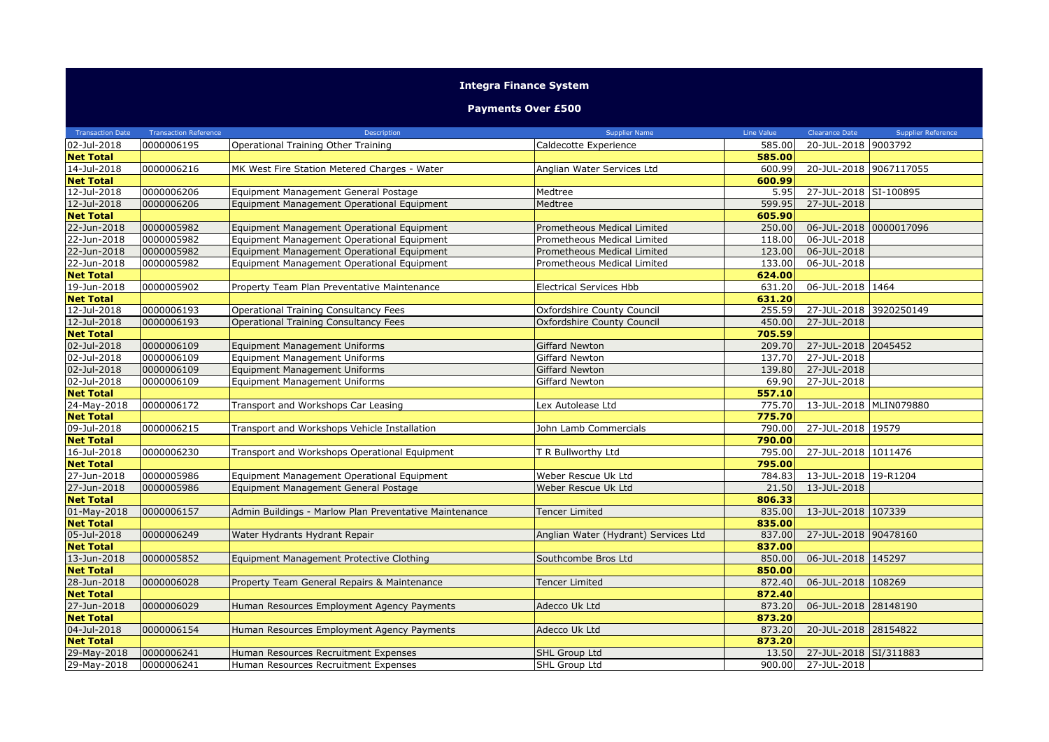## **Integra Finance System**

## **Payments Over £500**

| <b>Transaction Date</b> | <b>Transaction Reference</b> | Description                                            | <b>Supplier Name</b>                 | Line Value | <b>Clearance Date</b>  | <b>Supplier Reference</b> |
|-------------------------|------------------------------|--------------------------------------------------------|--------------------------------------|------------|------------------------|---------------------------|
| 02-Jul-2018             | 0000006195                   | Operational Training Other Training                    | Caldecotte Experience                | 585.00     | 20-JUL-2018 9003792    |                           |
| <b>Net Total</b>        |                              |                                                        |                                      | 585.00     |                        |                           |
| 14-Jul-2018             | 0000006216                   | MK West Fire Station Metered Charges - Water           | Anglian Water Services Ltd           | 600.99     | 20-JUL-2018 9067117055 |                           |
| <b>Net Total</b>        |                              |                                                        |                                      | 600.99     |                        |                           |
| 12-Jul-2018             | 0000006206                   | Equipment Management General Postage                   | Medtree                              | 5.95       | 27-JUL-2018 SI-100895  |                           |
| 12-Jul-2018             | 0000006206                   | Equipment Management Operational Equipment             | Medtree                              | 599.95     | 27-JUL-2018            |                           |
| <b>Net Total</b>        |                              |                                                        |                                      | 605.90     |                        |                           |
| 22-Jun-2018             | 0000005982                   | Equipment Management Operational Equipment             | Prometheous Medical Limited          | 250.00     | 06-JUL-2018 0000017096 |                           |
| 22-Jun-2018             | 0000005982                   | Equipment Management Operational Equipment             | Prometheous Medical Limited          | 118.00     | 06-JUL-2018            |                           |
| 22-Jun-2018             | 0000005982                   | Equipment Management Operational Equipment             | Prometheous Medical Limited          | 123.00     | 06-JUL-2018            |                           |
| 22-Jun-2018             | 0000005982                   | Equipment Management Operational Equipment             | Prometheous Medical Limited          | 133.00     | 06-JUL-2018            |                           |
| <b>Net Total</b>        |                              |                                                        |                                      | 624.00     |                        |                           |
| 19-Jun-2018             | 0000005902                   | Property Team Plan Preventative Maintenance            | <b>Electrical Services Hbb</b>       | 631.20     | 06-JUL-2018 1464       |                           |
| <b>Net Total</b>        |                              |                                                        |                                      | 631.20     |                        |                           |
| 12-Jul-2018             | 0000006193                   | Operational Training Consultancy Fees                  | Oxfordshire County Council           | 255.59     | 27-JUL-2018 3920250149 |                           |
| 12-Jul-2018             | 0000006193                   | Operational Training Consultancy Fees                  | Oxfordshire County Council           | 450.00     | 27-JUL-2018            |                           |
| <b>Net Total</b>        |                              |                                                        |                                      | 705.59     |                        |                           |
| 02-Jul-2018             | 0000006109                   | Equipment Management Uniforms                          | <b>Giffard Newton</b>                | 209.70     | 27-JUL-2018 2045452    |                           |
| 02-Jul-2018             | 0000006109                   | Equipment Management Uniforms                          | Giffard Newton                       | 137.70     | 27-JUL-2018            |                           |
| 02-Jul-2018             | 0000006109                   | <b>Equipment Management Uniforms</b>                   | <b>Giffard Newton</b>                | 139.80     | 27-JUL-2018            |                           |
| 02-Jul-2018             | 0000006109                   | Equipment Management Uniforms                          | Giffard Newton                       | 69.90      | 27-JUL-2018            |                           |
| <b>Net Total</b>        |                              |                                                        |                                      | 557.10     |                        |                           |
| 24-May-2018             | 0000006172                   | Transport and Workshops Car Leasing                    | Lex Autolease Ltd                    | 775.70     | 13-JUL-2018 MLIN079880 |                           |
| <b>Net Total</b>        |                              |                                                        |                                      | 775.70     |                        |                           |
| 09-Jul-2018             | 0000006215                   | Transport and Workshops Vehicle Installation           | John Lamb Commercials                | 790.00     | 27-JUL-2018 19579      |                           |
| <b>Net Total</b>        |                              |                                                        |                                      | 790.00     |                        |                           |
| 16-Jul-2018             | 0000006230                   | Transport and Workshops Operational Equipment          | T R Bullworthy Ltd                   | 795.00     | 27-JUL-2018 1011476    |                           |
| <b>Net Total</b>        |                              |                                                        |                                      | 795.00     |                        |                           |
| 27-Jun-2018             | 0000005986                   | Equipment Management Operational Equipment             | Weber Rescue Uk Ltd                  | 784.83     | 13-JUL-2018 19-R1204   |                           |
| 27-Jun-2018             | 0000005986                   | Equipment Management General Postage                   | Weber Rescue Uk Ltd                  | 21.50      | 13-JUL-2018            |                           |
| <b>Net Total</b>        |                              |                                                        |                                      | 806.33     |                        |                           |
| 01-May-2018             | 0000006157                   | Admin Buildings - Marlow Plan Preventative Maintenance | Tencer Limited                       | 835.00     | 13-JUL-2018 107339     |                           |
| <b>Net Total</b>        |                              |                                                        |                                      | 835.00     |                        |                           |
| 05-Jul-2018             | 0000006249                   | Water Hydrants Hydrant Repair                          | Anglian Water (Hydrant) Services Ltd | 837.00     | 27-JUL-2018 90478160   |                           |
| <b>Net Total</b>        |                              |                                                        |                                      | 837.00     |                        |                           |
| 13-Jun-2018             | 0000005852                   | Equipment Management Protective Clothing               | Southcombe Bros Ltd                  | 850.00     | 06-JUL-2018 145297     |                           |
| <b>Net Total</b>        |                              |                                                        |                                      | 850.00     |                        |                           |
| 28-Jun-2018             | 0000006028                   | Property Team General Repairs & Maintenance            | <b>Tencer Limited</b>                | 872.40     | 06-JUL-2018 108269     |                           |
| <b>Net Total</b>        |                              |                                                        |                                      | 872.40     |                        |                           |
| 27-Jun-2018             | 0000006029                   | Human Resources Employment Agency Payments             | Adecco Uk Ltd                        | 873.20     | 06-JUL-2018 28148190   |                           |
| <b>Net Total</b>        |                              |                                                        |                                      | 873.20     |                        |                           |
| 04-Jul-2018             | 0000006154                   | Human Resources Employment Agency Payments             | Adecco Uk Ltd                        | 873.20     | 20-JUL-2018 28154822   |                           |
| <b>Net Total</b>        |                              |                                                        |                                      | 873.20     |                        |                           |
| 29-May-2018             | 0000006241                   | Human Resources Recruitment Expenses                   | <b>SHL Group Ltd</b>                 | 13.50      | 27-JUL-2018 SI/311883  |                           |
| 29-May-2018             | 0000006241                   | Human Resources Recruitment Expenses                   | SHL Group Ltd                        | 900.00     | 27-JUL-2018            |                           |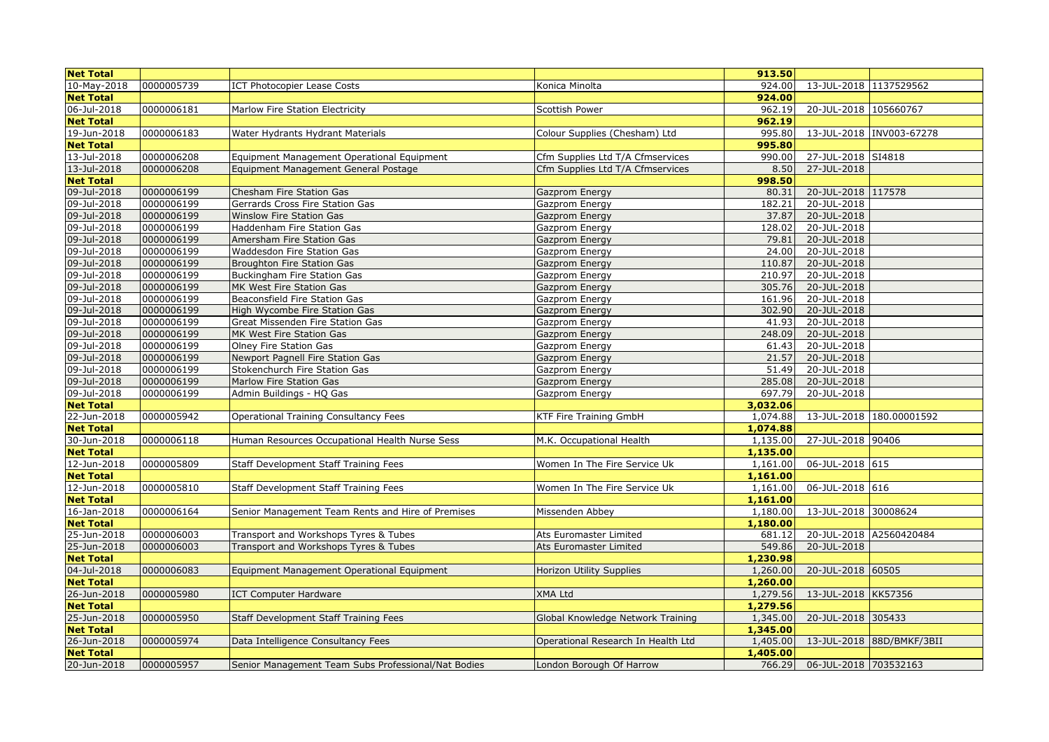| <b>Net Total</b> |            |                                                     |                                    | 913.50   |                        |                           |
|------------------|------------|-----------------------------------------------------|------------------------------------|----------|------------------------|---------------------------|
| 10-May-2018      | 0000005739 | <b>ICT Photocopier Lease Costs</b>                  | Konica Minolta                     | 924.00   | 13-JUL-2018 1137529562 |                           |
| <b>Net Total</b> |            |                                                     |                                    | 924.00   |                        |                           |
| 06-Jul-2018      | 0000006181 | Marlow Fire Station Electricity                     | Scottish Power                     | 962.19   | 20-JUL-2018 105660767  |                           |
| <b>Net Total</b> |            |                                                     |                                    | 962.19   |                        |                           |
| 19-Jun-2018      | 0000006183 | Water Hydrants Hydrant Materials                    | Colour Supplies (Chesham) Ltd      | 995.80   |                        | 13-JUL-2018  INV003-67278 |
| <b>Net Total</b> |            |                                                     |                                    | 995.80   |                        |                           |
| 13-Jul-2018      | 0000006208 | Equipment Management Operational Equipment          | Cfm Supplies Ltd T/A Cfmservices   | 990.00   | 27-JUL-2018 SI4818     |                           |
| 13-Jul-2018      | 0000006208 | Equipment Management General Postage                | Cfm Supplies Ltd T/A Cfmservices   | 8.50     | 27-JUL-2018            |                           |
| <b>Net Total</b> |            |                                                     |                                    | 998.50   |                        |                           |
| 09-Jul-2018      | 0000006199 | Chesham Fire Station Gas                            | Gazprom Energy                     | 80.31    | 20-JUL-2018 117578     |                           |
| 09-Jul-2018      | 0000006199 | Gerrards Cross Fire Station Gas                     | Gazprom Energy                     | 182.21   | 20-JUL-2018            |                           |
| 09-Jul-2018      | 0000006199 | Winslow Fire Station Gas                            | Gazprom Energy                     | 37.87    | 20-JUL-2018            |                           |
| 09-Jul-2018      | 0000006199 | Haddenham Fire Station Gas                          | Gazprom Energy                     | 128.02   | 20-JUL-2018            |                           |
| 09-Jul-2018      | 0000006199 | Amersham Fire Station Gas                           | Gazprom Energy                     | 79.81    | 20-JUL-2018            |                           |
| 09-Jul-2018      | 0000006199 | Waddesdon Fire Station Gas                          | Gazprom Energy                     | 24.00    | 20-JUL-2018            |                           |
| 09-Jul-2018      | 0000006199 | <b>Broughton Fire Station Gas</b>                   | Gazprom Energy                     | 110.87   | 20-JUL-2018            |                           |
| 09-Jul-2018      | 0000006199 | Buckingham Fire Station Gas                         | Gazprom Energy                     | 210.97   | 20-JUL-2018            |                           |
| 09-Jul-2018      | 0000006199 | MK West Fire Station Gas                            | Gazprom Energy                     | 305.76   | 20-JUL-2018            |                           |
| 09-Jul-2018      | 0000006199 | Beaconsfield Fire Station Gas                       | Gazprom Energy                     | 161.96   | 20-JUL-2018            |                           |
| 09-Jul-2018      | 0000006199 | High Wycombe Fire Station Gas                       | Gazprom Energy                     | 302.90   | 20-JUL-2018            |                           |
| 09-Jul-2018      | 0000006199 | Great Missenden Fire Station Gas                    | Gazprom Energy                     | 41.93    | 20-JUL-2018            |                           |
| 09-Jul-2018      | 0000006199 | MK West Fire Station Gas                            | Gazprom Energy                     | 248.09   | 20-JUL-2018            |                           |
| 09-Jul-2018      | 0000006199 | Olney Fire Station Gas                              | Gazprom Energy                     | 61.43    | 20-JUL-2018            |                           |
| 09-Jul-2018      | 0000006199 | Newport Pagnell Fire Station Gas                    | Gazprom Energy                     | 21.57    | 20-JUL-2018            |                           |
| 09-Jul-2018      | 0000006199 | Stokenchurch Fire Station Gas                       | Gazprom Energy                     | 51.49    | 20-JUL-2018            |                           |
| 09-Jul-2018      | 0000006199 | Marlow Fire Station Gas                             | Gazprom Energy                     | 285.08   | 20-JUL-2018            |                           |
| 09-Jul-2018      | 0000006199 | Admin Buildings - HQ Gas                            | Gazprom Energy                     | 697.79   | 20-JUL-2018            |                           |
| <b>Net Total</b> |            |                                                     |                                    | 3,032.06 |                        |                           |
| 22-Jun-2018      | 0000005942 | <b>Operational Training Consultancy Fees</b>        | KTF Fire Training GmbH             | 1,074.88 |                        | 13-JUL-2018 180.00001592  |
| <b>Net Total</b> |            |                                                     |                                    | 1,074.88 |                        |                           |
| 30-Jun-2018      | 0000006118 | Human Resources Occupational Health Nurse Sess      | M.K. Occupational Health           | 1,135.00 | 27-JUL-2018 90406      |                           |
| <b>Net Total</b> |            |                                                     |                                    | 1,135.00 |                        |                           |
| 12-Jun-2018      | 0000005809 | Staff Development Staff Training Fees               | Women In The Fire Service Uk       | 1,161.00 | 06-JUL-2018 615        |                           |
| <b>Net Total</b> |            |                                                     |                                    | 1,161.00 |                        |                           |
| 12-Jun-2018      | 0000005810 | Staff Development Staff Training Fees               | Women In The Fire Service Uk       | 1,161.00 | 06-JUL-2018 616        |                           |
| <b>Net Total</b> |            |                                                     |                                    | 1,161.00 |                        |                           |
| 16-Jan-2018      | 0000006164 | Senior Management Team Rents and Hire of Premises   | Missenden Abbey                    | 1,180.00 | 13-JUL-2018 30008624   |                           |
| <b>Net Total</b> |            |                                                     |                                    | 1,180.00 |                        |                           |
| 25-Jun-2018      | 0000006003 | Transport and Workshops Tyres & Tubes               | Ats Euromaster Limited             | 681.12   |                        | 20-JUL-2018 A2560420484   |
| 25-Jun-2018      | 0000006003 | Transport and Workshops Tyres & Tubes               | Ats Euromaster Limited             | 549.86   | 20-JUL-2018            |                           |
| <b>Net Total</b> |            |                                                     |                                    | 1,230.98 |                        |                           |
| 04-Jul-2018      | 0000006083 | Equipment Management Operational Equipment          | Horizon Utility Supplies           | 1,260.00 | 20-JUL-2018 60505      |                           |
| <b>Net Total</b> |            |                                                     |                                    | 1,260.00 |                        |                           |
| 26-Jun-2018      | 0000005980 | <b>ICT Computer Hardware</b>                        | XMA Ltd                            | 1,279.56 | 13-JUL-2018 KK57356    |                           |
| <b>Net Total</b> |            |                                                     |                                    | 1,279.56 |                        |                           |
| 25-Jun-2018      | 0000005950 | Staff Development Staff Training Fees               | Global Knowledge Network Training  | 1,345.00 | 20-JUL-2018 305433     |                           |
| <b>Net Total</b> |            |                                                     |                                    | 1,345.00 |                        |                           |
| 26-Jun-2018      | 0000005974 | Data Intelligence Consultancy Fees                  | Operational Research In Health Ltd | 1,405.00 |                        | 13-JUL-2018 88D/BMKF/3BII |
| <b>Net Total</b> |            |                                                     |                                    | 1,405.00 |                        |                           |
| 20-Jun-2018      | 0000005957 | Senior Management Team Subs Professional/Nat Bodies | London Borough Of Harrow           | 766.29   | 06-JUL-2018 703532163  |                           |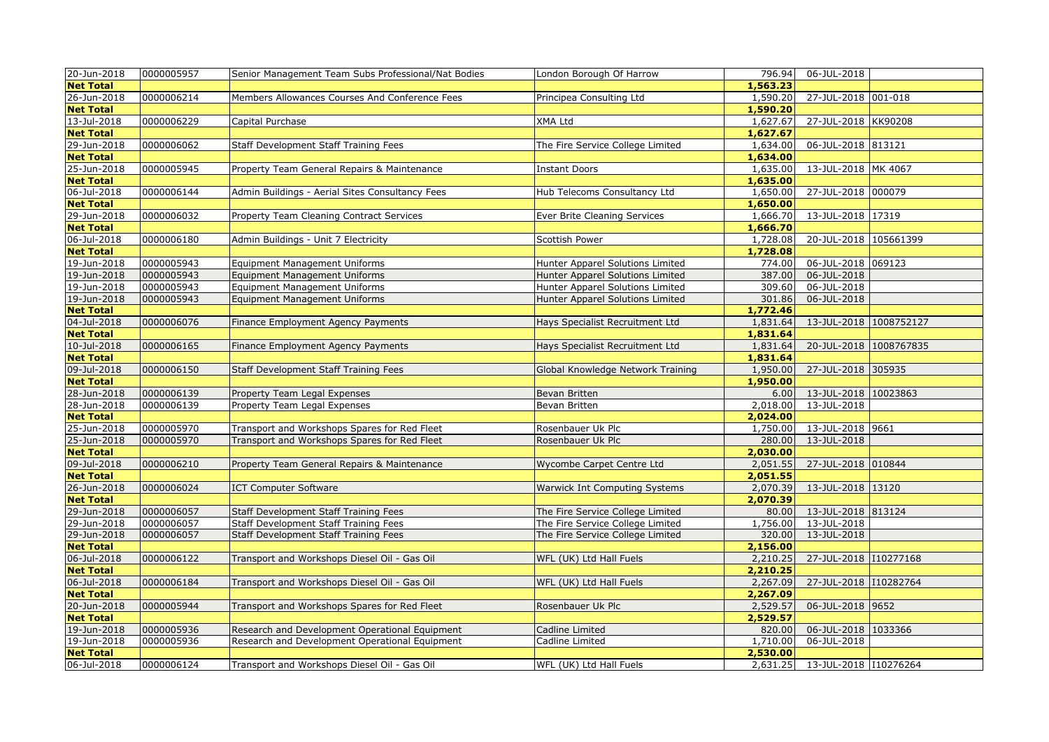| 20-Jun-2018      | 0000005957 | Senior Management Team Subs Professional/Nat Bodies | London Borough Of Harrow             | 796.94   | 06-JUL-2018            |  |
|------------------|------------|-----------------------------------------------------|--------------------------------------|----------|------------------------|--|
| <b>Net Total</b> |            |                                                     |                                      | 1,563.23 |                        |  |
| 26-Jun-2018      | 0000006214 | Members Allowances Courses And Conference Fees      | Principea Consulting Ltd             | 1,590.20 | 27-JUL-2018 001-018    |  |
| <b>Net Total</b> |            |                                                     |                                      | 1,590.20 |                        |  |
| 13-Jul-2018      | 0000006229 | Capital Purchase                                    | <b>XMA Ltd</b>                       | 1,627.67 | 27-JUL-2018 KK90208    |  |
| <b>Net Total</b> |            |                                                     |                                      | 1,627.67 |                        |  |
| 29-Jun-2018      | 0000006062 | Staff Development Staff Training Fees               | The Fire Service College Limited     | 1,634.00 | 06-JUL-2018 813121     |  |
| <b>Net Total</b> |            |                                                     |                                      | 1,634.00 |                        |  |
| 25-Jun-2018      | 0000005945 | Property Team General Repairs & Maintenance         | <b>Instant Doors</b>                 | 1,635.00 | 13-JUL-2018 MK 4067    |  |
| <b>Net Total</b> |            |                                                     |                                      | 1,635.00 |                        |  |
| 06-Jul-2018      | 0000006144 | Admin Buildings - Aerial Sites Consultancy Fees     | Hub Telecoms Consultancy Ltd         | 1,650.00 | 27-JUL-2018 000079     |  |
| <b>Net Total</b> |            |                                                     |                                      | 1,650.00 |                        |  |
| 29-Jun-2018      | 0000006032 | Property Team Cleaning Contract Services            | Ever Brite Cleaning Services         | 1,666.70 | 13-JUL-2018 17319      |  |
| <b>Net Total</b> |            |                                                     |                                      | 1,666.70 |                        |  |
| 06-Jul-2018      | 0000006180 | Admin Buildings - Unit 7 Electricity                | <b>Scottish Power</b>                | 1,728.08 | 20-JUL-2018 105661399  |  |
| <b>Net Total</b> |            |                                                     |                                      | 1,728.08 |                        |  |
| 19-Jun-2018      | 0000005943 | <b>Equipment Management Uniforms</b>                | Hunter Apparel Solutions Limited     | 774.00   | 06-JUL-2018 069123     |  |
| 19-Jun-2018      | 0000005943 | <b>Equipment Management Uniforms</b>                | Hunter Apparel Solutions Limited     | 387.00   | 06-JUL-2018            |  |
| 19-Jun-2018      | 0000005943 | <b>Equipment Management Uniforms</b>                | Hunter Apparel Solutions Limited     | 309.60   | 06-JUL-2018            |  |
| 19-Jun-2018      | 0000005943 | <b>Equipment Management Uniforms</b>                | Hunter Apparel Solutions Limited     | 301.86   | 06-JUL-2018            |  |
| <b>Net Total</b> |            |                                                     |                                      | 1,772.46 |                        |  |
| 04-Jul-2018      | 0000006076 | Finance Employment Agency Payments                  | Hays Specialist Recruitment Ltd      | 1,831.64 | 13-JUL-2018 1008752127 |  |
| <b>Net Total</b> |            |                                                     |                                      | 1,831.64 |                        |  |
| 10-Jul-2018      | 0000006165 | Finance Employment Agency Payments                  | Hays Specialist Recruitment Ltd      | 1,831.64 | 20-JUL-2018 1008767835 |  |
| <b>Net Total</b> |            |                                                     |                                      | 1,831.64 |                        |  |
| 09-Jul-2018      | 0000006150 | Staff Development Staff Training Fees               | Global Knowledge Network Training    | 1,950.00 | 27-JUL-2018 305935     |  |
| <b>Net Total</b> |            |                                                     |                                      | 1,950.00 |                        |  |
| 28-Jun-2018      | 0000006139 | Property Team Legal Expenses                        | Bevan Britten                        | 6.00     | 13-JUL-2018 10023863   |  |
| 28-Jun-2018      | 0000006139 | Property Team Legal Expenses                        | Bevan Britten                        | 2,018.00 | 13-JUL-2018            |  |
| <b>Net Total</b> |            |                                                     |                                      | 2,024.00 |                        |  |
| 25-Jun-2018      | 0000005970 | Transport and Workshops Spares for Red Fleet        | Rosenbauer Uk Plc                    | 1,750.00 | 13-JUL-2018 9661       |  |
| 25-Jun-2018      | 0000005970 | Transport and Workshops Spares for Red Fleet        | Rosenbauer Uk Plc                    | 280.00   | 13-JUL-2018            |  |
| <b>Net Total</b> |            |                                                     |                                      | 2,030.00 |                        |  |
| 09-Jul-2018      | 0000006210 | Property Team General Repairs & Maintenance         | Wycombe Carpet Centre Ltd            | 2,051.55 | 27-JUL-2018 010844     |  |
| <b>Net Total</b> |            |                                                     |                                      | 2,051.55 |                        |  |
| 26-Jun-2018      | 0000006024 | <b>ICT Computer Software</b>                        | <b>Warwick Int Computing Systems</b> | 2,070.39 | 13-JUL-2018 13120      |  |
| <b>Net Total</b> |            |                                                     |                                      | 2,070.39 |                        |  |
| 29-Jun-2018      | 0000006057 | Staff Development Staff Training Fees               | The Fire Service College Limited     | 80.00    | 13-JUL-2018 813124     |  |
| 29-Jun-2018      | 0000006057 | Staff Development Staff Training Fees               | The Fire Service College Limited     | 1,756.00 | 13-JUL-2018            |  |
| 29-Jun-2018      | 0000006057 | Staff Development Staff Training Fees               | The Fire Service College Limited     | 320.00   | 13-JUL-2018            |  |
| <b>Net Total</b> |            |                                                     |                                      | 2,156.00 |                        |  |
| 06-Jul-2018      | 0000006122 | Transport and Workshops Diesel Oil - Gas Oil        | WFL (UK) Ltd Hall Fuels              | 2,210.25 | 27-JUL-2018 110277168  |  |
| <b>Net Total</b> |            |                                                     |                                      | 2,210.25 |                        |  |
| 06-Jul-2018      | 0000006184 | Transport and Workshops Diesel Oil - Gas Oil        | WFL (UK) Ltd Hall Fuels              | 2,267.09 | 27-JUL-2018 110282764  |  |
| <b>Net Total</b> |            |                                                     |                                      | 2,267.09 |                        |  |
| 20-Jun-2018      | 0000005944 | Transport and Workshops Spares for Red Fleet        | Rosenbauer Uk Plc                    | 2,529.57 | 06-JUL-2018 9652       |  |
| <b>Net Total</b> |            |                                                     |                                      | 2,529.57 |                        |  |
| 19-Jun-2018      | 0000005936 | Research and Development Operational Equipment      | Cadline Limited                      | 820.00   | 06-JUL-2018 1033366    |  |
| 19-Jun-2018      | 0000005936 | Research and Development Operational Equipment      | Cadline Limited                      | 1,710.00 | 06-JUL-2018            |  |
| <b>Net Total</b> |            |                                                     |                                      | 2,530.00 |                        |  |
| 06-Jul-2018      | 0000006124 | Transport and Workshops Diesel Oil - Gas Oil        | WFL (UK) Ltd Hall Fuels              | 2,631.25 | 13-JUL-2018 110276264  |  |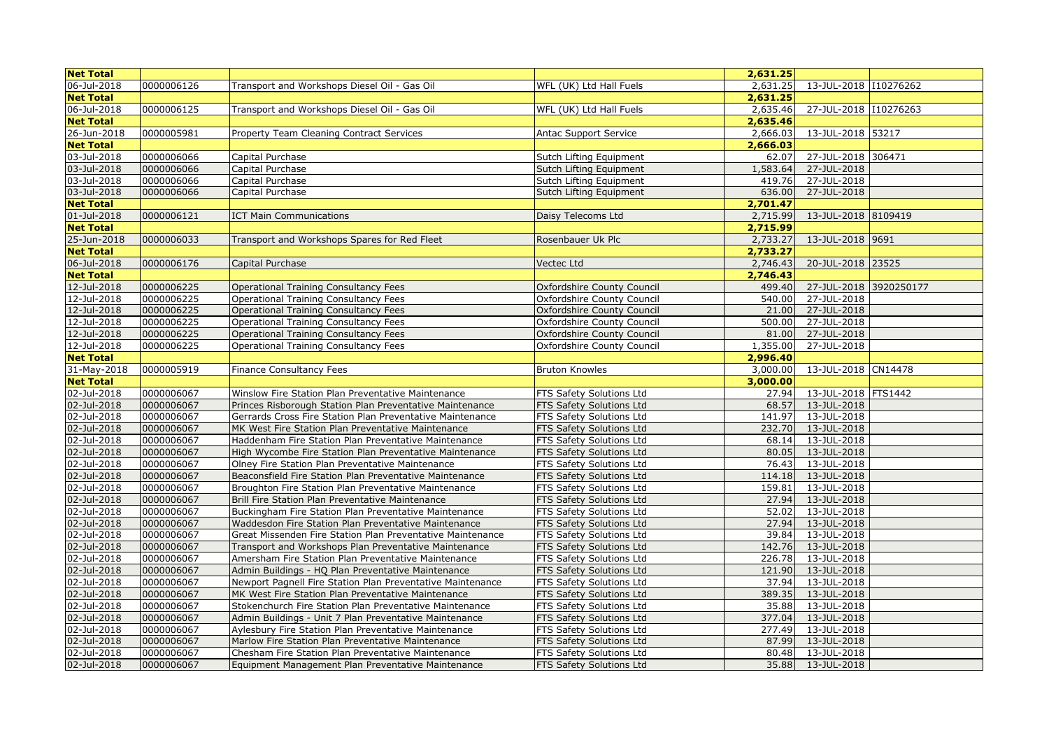| <b>Net Total</b> |            |                                                                                                                 |                                   | 2,631.25 |                            |  |
|------------------|------------|-----------------------------------------------------------------------------------------------------------------|-----------------------------------|----------|----------------------------|--|
| 06-Jul-2018      | 0000006126 | Transport and Workshops Diesel Oil - Gas Oil                                                                    | WFL (UK) Ltd Hall Fuels           | 2,631.25 | 13-JUL-2018 110276262      |  |
| <b>Net Total</b> |            |                                                                                                                 |                                   | 2,631.25 |                            |  |
| 06-Jul-2018      | 0000006125 | Transport and Workshops Diesel Oil - Gas Oil                                                                    | WFL (UK) Ltd Hall Fuels           | 2,635.46 | 27-JUL-2018 110276263      |  |
| <b>Net Total</b> |            |                                                                                                                 |                                   | 2,635.46 |                            |  |
| 26-Jun-2018      | 0000005981 | Property Team Cleaning Contract Services                                                                        | <b>Antac Support Service</b>      | 2,666.03 | 13-JUL-2018 53217          |  |
| <b>Net Total</b> |            |                                                                                                                 |                                   | 2,666.03 |                            |  |
| 03-Jul-2018      | 0000006066 | Capital Purchase                                                                                                | Sutch Lifting Equipment           | 62.07    | 27-JUL-2018 306471         |  |
| 03-Jul-2018      | 0000006066 | Capital Purchase                                                                                                | Sutch Lifting Equipment           | 1,583.64 | 27-JUL-2018                |  |
| 03-Jul-2018      | 0000006066 | Capital Purchase                                                                                                | Sutch Lifting Equipment           | 419.76   | 27-JUL-2018                |  |
| 03-Jul-2018      | 0000006066 | Capital Purchase                                                                                                | Sutch Lifting Equipment           | 636.00   | 27-JUL-2018                |  |
| <b>Net Total</b> |            |                                                                                                                 |                                   | 2,701.47 |                            |  |
| 01-Jul-2018      | 0000006121 | <b>ICT Main Communications</b>                                                                                  | Daisy Telecoms Ltd                | 2,715.99 | 13-JUL-2018 8109419        |  |
| <b>Net Total</b> |            |                                                                                                                 |                                   | 2,715.99 |                            |  |
| 25-Jun-2018      | 0000006033 | Transport and Workshops Spares for Red Fleet                                                                    | Rosenbauer Uk Plc                 | 2,733.27 | 13-JUL-2018 9691           |  |
| <b>Net Total</b> |            |                                                                                                                 |                                   | 2,733.27 |                            |  |
| 06-Jul-2018      | 0000006176 | Capital Purchase                                                                                                | Vectec Ltd                        | 2,746.43 | 20-JUL-2018 23525          |  |
| <b>Net Total</b> |            |                                                                                                                 |                                   | 2,746.43 |                            |  |
| 12-Jul-2018      | 0000006225 | <b>Operational Training Consultancy Fees</b>                                                                    | Oxfordshire County Council        | 499.40   | 27-JUL-2018 3920250177     |  |
| 12-Jul-2018      | 0000006225 | <b>Operational Training Consultancy Fees</b>                                                                    | Oxfordshire County Council        | 540.00   | 27-JUL-2018                |  |
| 12-Jul-2018      | 0000006225 | <b>Operational Training Consultancy Fees</b>                                                                    | <b>Oxfordshire County Council</b> | 21.00    | 27-JUL-2018                |  |
| 12-Jul-2018      | 0000006225 | Operational Training Consultancy Fees                                                                           | Oxfordshire County Council        | 500.00   | 27-JUL-2018                |  |
| 12-Jul-2018      | 0000006225 | Operational Training Consultancy Fees                                                                           | Oxfordshire County Council        | 81.00    | 27-JUL-2018                |  |
| 12-Jul-2018      | 0000006225 | Operational Training Consultancy Fees                                                                           | Oxfordshire County Council        | 1,355,00 | 27-JUL-2018                |  |
| <b>Net Total</b> |            |                                                                                                                 |                                   | 2,996.40 |                            |  |
| 31-May-2018      | 0000005919 |                                                                                                                 |                                   | 3,000.00 | 13-JUL-2018 CN14478        |  |
| <b>Net Total</b> |            | <b>Finance Consultancy Fees</b>                                                                                 | <b>Bruton Knowles</b>             | 3,000.00 |                            |  |
| 02-Jul-2018      | 0000006067 | Winslow Fire Station Plan Preventative Maintenance                                                              | FTS Safety Solutions Ltd          | 27.94    | 13-JUL-2018   FTS1442      |  |
| 02-Jul-2018      | 0000006067 |                                                                                                                 | FTS Safety Solutions Ltd          | 68.57    | 13-JUL-2018                |  |
| 02-Jul-2018      | 0000006067 | Princes Risborough Station Plan Preventative Maintenance                                                        | FTS Safety Solutions Ltd          | 141.97   | 13-JUL-2018                |  |
| 02-Jul-2018      | 0000006067 | Gerrards Cross Fire Station Plan Preventative Maintenance<br>MK West Fire Station Plan Preventative Maintenance | FTS Safety Solutions Ltd          | 232.70   | 13-JUL-2018                |  |
| 02-Jul-2018      | 0000006067 |                                                                                                                 | FTS Safety Solutions Ltd          | 68.14    |                            |  |
| 02-Jul-2018      | 0000006067 | Haddenham Fire Station Plan Preventative Maintenance                                                            |                                   | 80.05    | 13-JUL-2018<br>13-JUL-2018 |  |
|                  | 0000006067 | High Wycombe Fire Station Plan Preventative Maintenance                                                         | FTS Safety Solutions Ltd          |          |                            |  |
| 02-Jul-2018      |            | Olney Fire Station Plan Preventative Maintenance                                                                | FTS Safety Solutions Ltd          | 76.43    | 13-JUL-2018                |  |
| 02-Jul-2018      | 0000006067 | Beaconsfield Fire Station Plan Preventative Maintenance                                                         | FTS Safety Solutions Ltd          | 114.18   | 13-JUL-2018                |  |
| 02-Jul-2018      | 0000006067 | Broughton Fire Station Plan Preventative Maintenance                                                            | FTS Safety Solutions Ltd          | 159.81   | 13-JUL-2018                |  |
| 02-Jul-2018      | 0000006067 | Brill Fire Station Plan Preventative Maintenance                                                                | FTS Safety Solutions Ltd          | 27.94    | 13-JUL-2018                |  |
| 02-Jul-2018      | 0000006067 | Buckingham Fire Station Plan Preventative Maintenance                                                           | FTS Safety Solutions Ltd          | 52.02    | 13-JUL-2018                |  |
| 02-Jul-2018      | 0000006067 | Waddesdon Fire Station Plan Preventative Maintenance                                                            | FTS Safety Solutions Ltd          | 27.94    | 13-JUL-2018                |  |
| 02-Jul-2018      | 0000006067 | Great Missenden Fire Station Plan Preventative Maintenance                                                      | FTS Safety Solutions Ltd          | 39.84    | 13-JUL-2018                |  |
| 02-Jul-2018      | 0000006067 | Transport and Workshops Plan Preventative Maintenance                                                           | FTS Safety Solutions Ltd          | 142.76   | 13-JUL-2018                |  |
| 02-Jul-2018      | 0000006067 | Amersham Fire Station Plan Preventative Maintenance                                                             | FTS Safety Solutions Ltd          | 226.78   | 13-JUL-2018                |  |
| 02-Jul-2018      | 0000006067 | Admin Buildings - HQ Plan Preventative Maintenance                                                              | FTS Safety Solutions Ltd          | 121.90   | 13-JUL-2018                |  |
| 02-Jul-2018      | 0000006067 | Newport Pagnell Fire Station Plan Preventative Maintenance                                                      | FTS Safety Solutions Ltd          | 37.94    | 13-JUL-2018                |  |
| 02-Jul-2018      | 0000006067 | MK West Fire Station Plan Preventative Maintenance                                                              | FTS Safety Solutions Ltd          | 389.35   | 13-JUL-2018                |  |
| 02-Jul-2018      | 0000006067 | Stokenchurch Fire Station Plan Preventative Maintenance                                                         | FTS Safety Solutions Ltd          | 35.88    | 13-JUL-2018                |  |
| 02-Jul-2018      | 0000006067 | Admin Buildings - Unit 7 Plan Preventative Maintenance                                                          | FTS Safety Solutions Ltd          | 377.04   | 13-JUL-2018                |  |
| 02-Jul-2018      | 0000006067 | Aylesbury Fire Station Plan Preventative Maintenance                                                            | FTS Safety Solutions Ltd          | 277.49   | 13-JUL-2018                |  |
| 02-Jul-2018      | 0000006067 | Marlow Fire Station Plan Preventative Maintenance                                                               | FTS Safety Solutions Ltd          | 87.99    | 13-JUL-2018                |  |
| 02-Jul-2018      | 0000006067 | Chesham Fire Station Plan Preventative Maintenance                                                              | FTS Safety Solutions Ltd          | 80.48    | 13-JUL-2018                |  |
| 02-Jul-2018      | 0000006067 | Equipment Management Plan Preventative Maintenance                                                              | FTS Safety Solutions Ltd          | 35.88    | 13-JUL-2018                |  |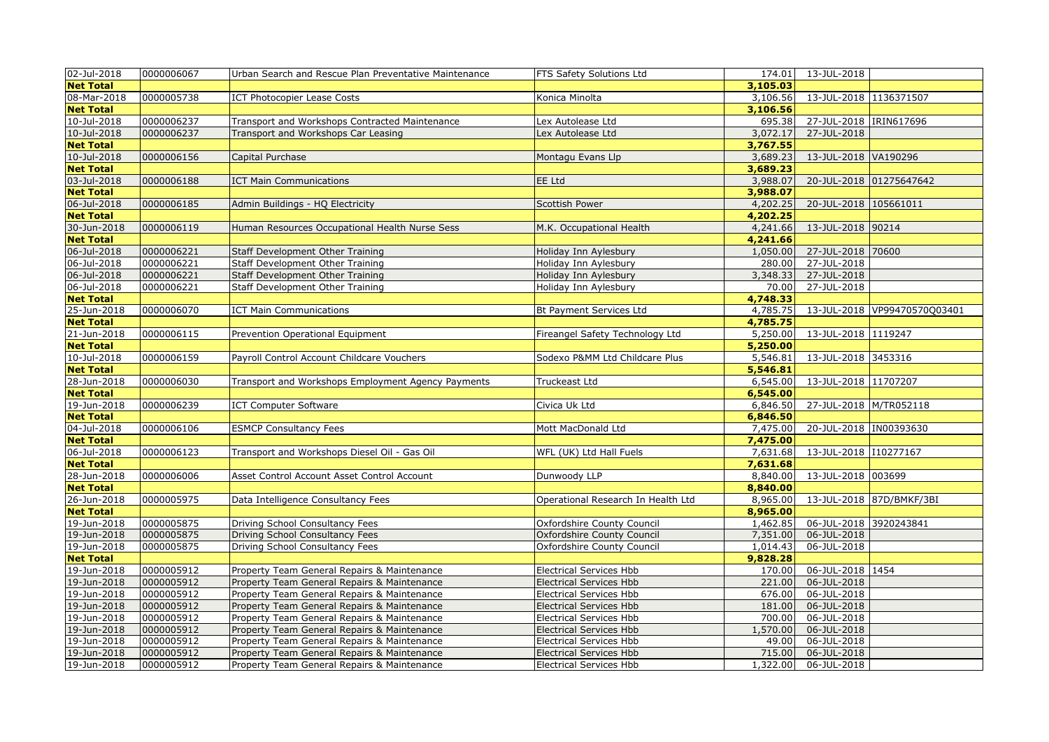| 02-Jul-2018      | 0000006067 | Urban Search and Rescue Plan Preventative Maintenance | FTS Safety Solutions Ltd           | 174.01   | 13-JUL-2018             |                              |
|------------------|------------|-------------------------------------------------------|------------------------------------|----------|-------------------------|------------------------------|
| <b>Net Total</b> |            |                                                       |                                    | 3,105.03 |                         |                              |
| 08-Mar-2018      | 0000005738 | <b>ICT Photocopier Lease Costs</b>                    | Konica Minolta                     | 3,106.56 | 13-JUL-2018 1136371507  |                              |
| <b>Net Total</b> |            |                                                       |                                    | 3,106.56 |                         |                              |
| 10-Jul-2018      | 0000006237 | Transport and Workshops Contracted Maintenance        | Lex Autolease Ltd                  | 695.38   | 27-JUL-2018  IRIN617696 |                              |
| 10-Jul-2018      | 0000006237 | Transport and Workshops Car Leasing                   | Lex Autolease Ltd                  | 3,072.17 | 27-JUL-2018             |                              |
| <b>Net Total</b> |            |                                                       |                                    | 3,767.55 |                         |                              |
| 10-Jul-2018      | 0000006156 | Capital Purchase                                      | Montagu Evans Llp                  | 3,689.23 | 13-JUL-2018 VA190296    |                              |
| <b>Net Total</b> |            |                                                       |                                    | 3,689.23 |                         |                              |
| 03-Jul-2018      | 0000006188 | <b>ICT Main Communications</b>                        | EE Ltd                             | 3,988.07 |                         | 20-JUL-2018 01275647642      |
| <b>Net Total</b> |            |                                                       |                                    | 3,988.07 |                         |                              |
| 06-Jul-2018      | 0000006185 | Admin Buildings - HQ Electricity                      | <b>Scottish Power</b>              | 4,202.25 | 20-JUL-2018 105661011   |                              |
| <b>Net Total</b> |            |                                                       |                                    | 4,202.25 |                         |                              |
| 30-Jun-2018      | 0000006119 | Human Resources Occupational Health Nurse Sess        | M.K. Occupational Health           | 4,241.66 | 13-JUL-2018 90214       |                              |
| <b>Net Total</b> |            |                                                       |                                    | 4,241.66 |                         |                              |
| 06-Jul-2018      | 0000006221 | <b>Staff Development Other Training</b>               | Holiday Inn Aylesbury              | 1,050.00 | 27-JUL-2018 70600       |                              |
| 06-Jul-2018      | 0000006221 | <b>Staff Development Other Training</b>               | Holiday Inn Aylesbury              | 280.00   | 27-JUL-2018             |                              |
| 06-Jul-2018      | 0000006221 | Staff Development Other Training                      | Holiday Inn Aylesbury              | 3,348.33 | 27-JUL-2018             |                              |
| 06-Jul-2018      | 0000006221 | Staff Development Other Training                      | Holiday Inn Aylesbury              | 70.00    | 27-JUL-2018             |                              |
| <b>Net Total</b> |            |                                                       |                                    | 4,748.33 |                         |                              |
| 25-Jun-2018      | 0000006070 | <b>ICT Main Communications</b>                        | Bt Payment Services Ltd            | 4,785.75 |                         | 13-JUL-2018 VP99470570Q03401 |
| <b>Net Total</b> |            |                                                       |                                    | 4,785.75 |                         |                              |
| 21-Jun-2018      | 0000006115 | Prevention Operational Equipment                      | Fireangel Safety Technology Ltd    | 5,250.00 | 13-JUL-2018 1119247     |                              |
| <b>Net Total</b> |            |                                                       |                                    | 5,250.00 |                         |                              |
| 10-Jul-2018      | 0000006159 | Payroll Control Account Childcare Vouchers            | Sodexo P&MM Ltd Childcare Plus     | 5,546.81 | 13-JUL-2018 3453316     |                              |
| <b>Net Total</b> |            |                                                       |                                    | 5,546.81 |                         |                              |
| 28-Jun-2018      | 0000006030 | Transport and Workshops Employment Agency Payments    | Truckeast Ltd                      | 6,545.00 | 13-JUL-2018 11707207    |                              |
| <b>Net Total</b> |            |                                                       |                                    | 6,545.00 |                         |                              |
| 19-Jun-2018      | 0000006239 | <b>ICT Computer Software</b>                          | Civica Uk Ltd                      | 6,846.50 | 27-JUL-2018 M/TR052118  |                              |
| <b>Net Total</b> |            |                                                       |                                    | 6,846.50 |                         |                              |
| $04 -$ Jul-2018  | 0000006106 | <b>ESMCP Consultancy Fees</b>                         | Mott MacDonald Ltd                 | 7,475.00 | 20-JUL-2018 IN00393630  |                              |
| <b>Net Total</b> |            |                                                       |                                    | 7,475.00 |                         |                              |
| 06-Jul-2018      | 0000006123 | Transport and Workshops Diesel Oil - Gas Oil          | WFL (UK) Ltd Hall Fuels            | 7,631.68 | 13-JUL-2018 110277167   |                              |
| <b>Net Total</b> |            |                                                       |                                    | 7,631.68 |                         |                              |
| 28-Jun-2018      | 0000006006 | Asset Control Account Asset Control Account           | Dunwoody LLP                       | 8,840.00 | 13-JUL-2018 003699      |                              |
| <b>Net Total</b> |            |                                                       |                                    | 8,840.00 |                         |                              |
| 26-Jun-2018      | 0000005975 | Data Intelligence Consultancy Fees                    | Operational Research In Health Ltd | 8,965.00 |                         | 13-JUL-2018 87D/BMKF/3BI     |
| <b>Net Total</b> |            |                                                       |                                    | 8,965.00 |                         |                              |
| 19-Jun-2018      | 0000005875 | Driving School Consultancy Fees                       | Oxfordshire County Council         | 1,462.85 | 06-JUL-2018 3920243841  |                              |
| 19-Jun-2018      | 0000005875 | Driving School Consultancy Fees                       | Oxfordshire County Council         | 7,351.00 | 06-JUL-2018             |                              |
| 19-Jun-2018      | 0000005875 | Driving School Consultancy Fees                       | Oxfordshire County Council         | 1,014.43 | 06-JUL-2018             |                              |
| <b>Net Total</b> |            |                                                       |                                    | 9,828.28 |                         |                              |
| 19-Jun-2018      | 0000005912 | Property Team General Repairs & Maintenance           | <b>Electrical Services Hbb</b>     | 170.00   | 06-JUL-2018 1454        |                              |
| 19-Jun-2018      | 0000005912 | Property Team General Repairs & Maintenance           | <b>Electrical Services Hbb</b>     | 221.00   | 06-JUL-2018             |                              |
| 19-Jun-2018      | 0000005912 | Property Team General Repairs & Maintenance           | <b>Electrical Services Hbb</b>     | 676.00   | 06-JUL-2018             |                              |
| 19-Jun-2018      | 0000005912 | Property Team General Repairs & Maintenance           | <b>Electrical Services Hbb</b>     | 181.00   | 06-JUL-2018             |                              |
| 19-Jun-2018      | 0000005912 | Property Team General Repairs & Maintenance           | <b>Electrical Services Hbb</b>     | 700.00   | 06-JUL-2018             |                              |
| 19-Jun-2018      | 0000005912 | Property Team General Repairs & Maintenance           | <b>Electrical Services Hbb</b>     | 1,570.00 | 06-JUL-2018             |                              |
| 19-Jun-2018      | 0000005912 | Property Team General Repairs & Maintenance           | <b>Electrical Services Hbb</b>     | 49.00    | 06-JUL-2018             |                              |
| 19-Jun-2018      | 0000005912 | Property Team General Repairs & Maintenance           | <b>Electrical Services Hbb</b>     | 715.00   | 06-JUL-2018             |                              |
| 19-Jun-2018      | 0000005912 | Property Team General Repairs & Maintenance           | <b>Electrical Services Hbb</b>     | 1,322.00 | 06-JUL-2018             |                              |